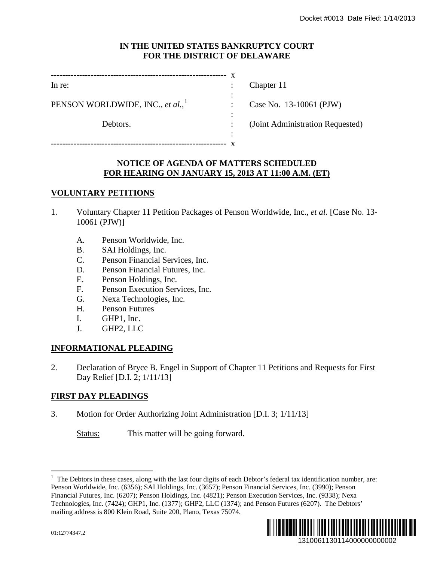#### **IN THE UNITED STATES BANKRUPTCY COURT FOR THE DISTRICT OF DELAWARE**

| In re:                                       |   | Chapter 11                       |
|----------------------------------------------|---|----------------------------------|
| PENSON WORLDWIDE, INC., et al., <sup>1</sup> | ٠ | Case No. 13-10061 (PJW)          |
| Debtors.                                     |   | (Joint Administration Requested) |

# **NOTICE OF AGENDA OF MATTERS SCHEDULED FOR HEARING ON JANUARY 15, 2013 AT 11:00 A.M. (ET)**

-------------------------------------------------------------- x

:

## **VOLUNTARY PETITIONS**

- 1. Voluntary Chapter 11 Petition Packages of Penson Worldwide, Inc.*, et al.* [Case No. 13- 10061 (PJW)]
	- A. Penson Worldwide, Inc.
	- B. SAI Holdings, Inc.
	- C. Penson Financial Services, Inc.
	- D. Penson Financial Futures, Inc.
	- E. Penson Holdings, Inc.
	- F. Penson Execution Services, Inc.
	- G. Nexa Technologies, Inc.
	- H. Penson Futures
	- I. GHP1, Inc.
	- J. GHP2, LLC

## **INFORMATIONAL PLEADING**

2. Declaration of Bryce B. Engel in Support of Chapter 11 Petitions and Requests for First Day Relief [D.I. 2; 1/11/13]

## **FIRST DAY PLEADINGS**

<span id="page-0-0"></span>3. Motion for Order Authorizing Joint Administration [D.I. 3; 1/11/13]

Status: This matter will be going forward.

 $\frac{1}{1}$  $<sup>1</sup>$  The Debtors in these cases, along with the last four digits of each Debtor's federal tax identification number, are:</sup> Penson Worldwide, Inc. (6356); SAI Holdings, Inc. (3657); Penson Financial Services, Inc. (3990); Penson Financial Futures, Inc. (6207); Penson Holdings, Inc. (4821); Penson Execution Services, Inc. (9338); Nexa Technologies, Inc. (7424); GHP1, Inc. (1377); GHP2, LLC (1374); and Penson Futures (6207). The Debtors' mailing address is 800 Klein Road, Suite 200, Plano, Texas 75074. 1310061130114000000000002 Docket #0013 Date Filed: 1/14/2013

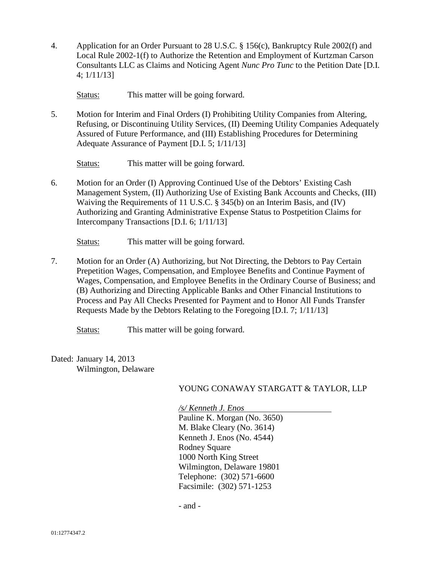4. Application for an Order Pursuant to 28 U.S.C. § 156(c), Bankruptcy Rule 2002(f) and Local Rule 2002-1(f) to Authorize the Retention and Employment of Kurtzman Carson Consultants LLC as Claims and Noticing Agent *Nunc Pro Tunc* to the Petition Date [D.I. 4; 1/11/13]

Status: This matter will be going forward.

5. Motion for Interim and Final Orders (I) Prohibiting Utility Companies from Altering, Refusing, or Discontinuing Utility Services, (II) Deeming Utility Companies Adequately Assured of Future Performance, and (III) Establishing Procedures for Determining Adequate Assurance of Payment [D.I. 5; 1/11/13]

Status: This matter will be going forward.

6. Motion for an Order (I) Approving Continued Use of the Debtors' Existing Cash Management System, (II) Authorizing Use of Existing Bank Accounts and Checks, (III) Waiving the Requirements of 11 U.S.C. § 345(b) on an Interim Basis, and (IV) Authorizing and Granting Administrative Expense Status to Postpetition Claims for Intercompany Transactions [D.I. 6; 1/11/13]

Status: This matter will be going forward.

7. Motion for an Order (A) Authorizing, but Not Directing, the Debtors to Pay Certain Prepetition Wages, Compensation, and Employee Benefits and Continue Payment of Wages, Compensation, and Employee Benefits in the Ordinary Course of Business; and (B) Authorizing and Directing Applicable Banks and Other Financial Institutions to Process and Pay All Checks Presented for Payment and to Honor All Funds Transfer Requests Made by the Debtors Relating to the Foregoing [D.I. 7; 1/11/13]

Status: This matter will be going forward.

Dated: January 14, 2013 Wilmington, Delaware

#### YOUNG CONAWAY STARGATT & TAYLOR, LLP

*/s/ Kenneth J. Enos*

Pauline K. Morgan (No. 3650) M. Blake Cleary (No. 3614) Kenneth J. Enos (No. 4544) Rodney Square 1000 North King Street Wilmington, Delaware 19801 Telephone: (302) 571-6600 Facsimile: (302) 571-1253

- and -